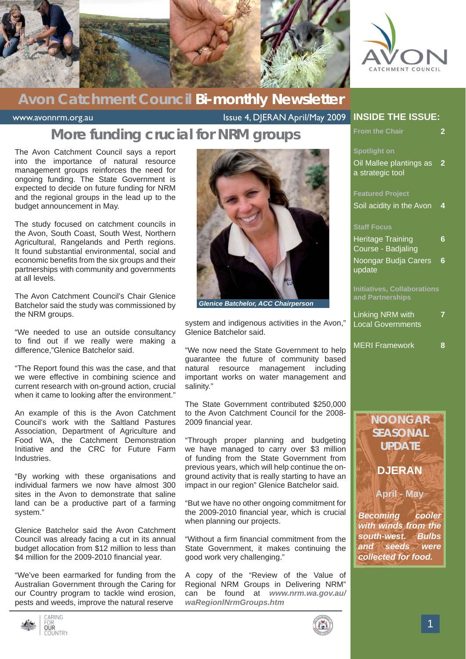

### **Avon Catchment Council Bi-monthly Newsletter**

www.avonnrm.org.au Issue 4, DJERAN April/May 2009

### **More funding crucial for NRM groups**

The Avon Catchment Council says a report into the importance of natural resource management groups reinforces the need for ongoing funding. The State Government is expected to decide on future funding for NRM and the regional groups in the lead up to the budget announcement in May.

The study focused on catchment councils in the Avon, South Coast, South West, Northern Agricultural, Rangelands and Perth regions. It found substantial environmental, social and economic benefits from the six groups and their partnerships with community and governments at all levels.

The Avon Catchment Council's Chair Glenice Batchelor said the study was commissioned by the NRM groups.

"We needed to use an outside consultancy to find out if we really were making a difference,"Glenice Batchelor said.

"The Report found this was the case, and that we were effective in combining science and current research with on-ground action, crucial when it came to looking after the environment."

An example of this is the Avon Catchment Council's work with the Saltland Pastures Association, Department of Agriculture and Food WA, the Catchment Demonstration Initiative and the CRC for Future Farm Industries.

"By working with these organisations and individual farmers we now have almost 300 sites in the Avon to demonstrate that saline land can be a productive part of a farming system."

Glenice Batchelor said the Avon Catchment Council was already facing a cut in its annual budget allocation from \$12 million to less than \$4 million for the 2009-2010 financial year.

"We've been earmarked for funding from the Australian Government through the Caring for our Country program to tackle wind erosion, pests and weeds, improve the natural reserve



*Glenice Batchelor, ACC Chairperson*

system and indigenous activities in the Avon," Glenice Batchelor said.

"We now need the State Government to help guarantee the future of community based natural resource management including important works on water management and salinity."

The State Government contributed \$250,000 to the Avon Catchment Council for the 2008- 2009 financial year.

"Through proper planning and budgeting we have managed to carry over \$3 million of funding from the State Government from previous years, which will help continue the onground activity that is really starting to have an impact in our region" Glenice Batchelor said.

"But we have no other ongoing commitment for the 2009-2010 financial year, which is crucial when planning our projects.

"Without a firm financial commitment from the State Government, it makes continuing the good work very challenging."

A copy of the "Review of the Value of Regional NRM Groups in Delivering NRM" can be found at *www.nrm.wa.gov.au/ waRegionlNrmGroups.htm*

#### **INSIDE THE ISSUE:**

| <b>From the Chair</b>                                  | 2 |
|--------------------------------------------------------|---|
| <b>Spotlight on</b>                                    |   |
| Oil Mallee plantings as<br>a strategic tool            | 2 |
| <b>Featured Project</b>                                |   |
| Soil acidity in the Avon                               | 4 |
| <b>Staff Focus</b>                                     |   |
| <b>Heritage Training</b><br>Course - Badjaling         | 6 |
| Noongar Budja Carers<br>update                         | 6 |
| <b>Initiatives, Collaborations</b><br>and Partnerships |   |
| Linking NRM with<br><b>Local Governments</b>           |   |
| <b>MERI Framework</b>                                  | 8 |
|                                                        |   |
|                                                        |   |
| <b>NOONGAR</b>                                         |   |





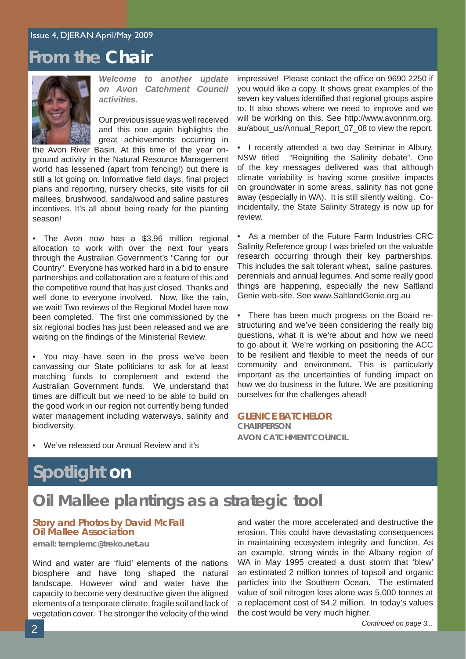### **From the Chair**



*Welcome to another update on Avon Catchment Council activities.* 

Our previous issue was well received and this one again highlights the great achievements occurring in

the Avon River Basin. At this time of the year onground activity in the Natural Resource Management world has lessened (apart from fencing!) but there is still a lot going on. Informative field days, final project plans and reporting, nursery checks, site visits for oil mallees, brushwood, sandalwood and saline pastures incentives. It's all about being ready for the planting season!

• The Avon now has a \$3.96 million regional allocation to work with over the next four years through the Australian Government's "Caring for our Country". Everyone has worked hard in a bid to ensure partnerships and collaboration are a feature of this and the competitive round that has just closed. Thanks and well done to everyone involved. Now, like the rain, we wait! Two reviews of the Regional Model have now been completed. The first one commissioned by the six regional bodies has just been released and we are waiting on the findings of the Ministerial Review.

• You may have seen in the press we've been canvassing our State politicians to ask for at least matching funds to complement and extend the Australian Government funds. We understand that times are difficult but we need to be able to build on the good work in our region not currently being funded water management including waterways, salinity and biodiversity.

impressive! Please contact the office on 9690 2250 if you would like a copy. It shows great examples of the seven key values identified that regional groups aspire to. It also shows where we need to improve and we will be working on this. See http://www.avonnrm.org. au/about\_us/Annual\_Report\_07\_08 to view the report.

• I recently attended a two day Seminar in Albury, NSW titled "Reigniting the Salinity debate". One of the key messages delivered was that although climate variability is having some positive impacts on groundwater in some areas, salinity has not gone away (especially in WA). It is still silently waiting. Coincidentally, the State Salinity Strategy is now up for review.

• As a member of the Future Farm Industries CRC Salinity Reference group I was briefed on the valuable research occurring through their key partnerships. This includes the salt tolerant wheat, saline pastures, perennials and annual legumes. And some really good things are happening, especially the new Saltland Genie web-site. See www.SaltlandGenie.org.au

• There has been much progress on the Board restructuring and we've been considering the really big questions, what it is we're about and how we need to go about it. We're working on positioning the ACC to be resilient and flexible to meet the needs of our community and environment. This is particularly important as the uncertainties of funding impact on how we do business in the future. We are positioning ourselves for the challenges ahead!

#### **GLENICE BATCHELOR**

**CHAIRPERSON AVON CATCHMENT COUNCIL**

• We've released our Annual Review and it's

# **Spotlight on**

### **Oil Mallee plantings as a strategic tool**

#### **Story and Photos by David McFall Oil Mallee Association**

**email: templemc@treko.net.au**

Wind and water are 'fluid' elements of the nations biosphere and have long shaped the natural landscape. However wind and water have the capacity to become very destructive given the aligned elements of a temporate climate, fragile soil and lack of vegetation cover. The stronger the velocity of the wind and water the more accelerated and destructive the erosion. This could have devastating consequences in maintaining ecosystem integrity and function. As an example, strong winds in the Albany region of WA in May 1995 created a dust storm that 'blew' an estimated 2 million tonnes of topsoil and organic particles into the Southern Ocean. The estimated value of soil nitrogen loss alone was 5,000 tonnes at a replacement cost of \$4.2 million. In today's values the cost would be very much higher.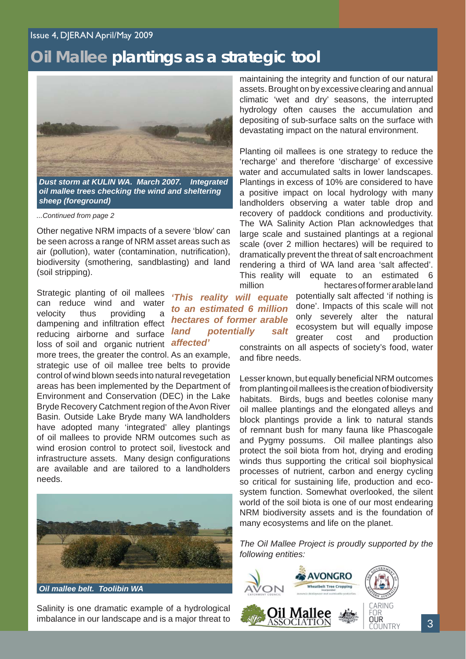#### Issue 4, DJERAN April/May 2009

### **Oil Mallee plantings as a strategic tool**

*to an estimated 6 million hectares of former arable* 

*land potentially* 

*affected'*



*Dust storm at KULIN WA. March 2007. Integrated oil mallee trees checking the wind and sheltering sheep (foreground)*

*...Continued from page 2*

Other negative NRM impacts of a severe 'blow' can be seen across a range of NRM asset areas such as air (pollution), water (contamination, nutrification), biodiversity (smothering, sandblasting) and land (soil stripping).

Strategic planting of oil mallees can reduce wind and water velocity thus providing dampening and infiltration effect reducing airborne and surface loss of soil and organic nutrient

more trees, the greater the control. As an example, strategic use of oil mallee tree belts to provide control of wind blown seeds into natural revegetation areas has been implemented by the Department of Environment and Conservation (DEC) in the Lake Bryde Recovery Catchment region of the Avon River Basin. Outside Lake Bryde many WA landholders have adopted many 'integrated' alley plantings of oil mallees to provide NRM outcomes such as wind erosion control to protect soil, livestock and infrastructure assets. Many design configurations are available and are tailored to a landholders needs.



Salinity is one dramatic example of a hydrological imbalance in our landscape and is a major threat to

maintaining the integrity and function of our natural assets. Brought on by excessive clearing and annual climatic 'wet and dry' seasons, the interrupted hydrology often causes the accumulation and depositing of sub-surface salts on the surface with devastating impact on the natural environment.

Planting oil mallees is one strategy to reduce the 'recharge' and therefore 'discharge' of excessive water and accumulated salts in lower landscapes. Plantings in excess of 10% are considered to have a positive impact on local hydrology with many landholders observing a water table drop and recovery of paddock conditions and productivity. The WA Salinity Action Plan acknowledges that large scale and sustained plantings at a regional scale (over 2 million hectares) will be required to dramatically prevent the threat of salt encroachment rendering a third of WA land area 'salt affected'. This reality will equate to an estimated 6 million hectares of former arable land

 potentially salt affected 'if nothing is done'. Impacts of this scale will not only severely alter the natural salt ecosystem but will equally impose greater cost and production constraints on all aspects of society's food, water and fibre needs. *'This reality will equate* 

> Lesser known, but equally beneficial NRM outcomes from planting oil mallees is the creation of biodiversity habitats. Birds, bugs and beetles colonise many oil mallee plantings and the elongated alleys and block plantings provide a link to natural stands of remnant bush for many fauna like Phascogale and Pygmy possums. Oil mallee plantings also protect the soil biota from hot, drying and eroding winds thus supporting the critical soil biophysical processes of nutrient, carbon and energy cycling so critical for sustaining life, production and ecosystem function. Somewhat overlooked, the silent world of the soil biota is one of our most endearing NRM biodiversity assets and is the foundation of many ecosystems and life on the planet.

> *The Oil Mallee Project is proudly supported by the following entities:*

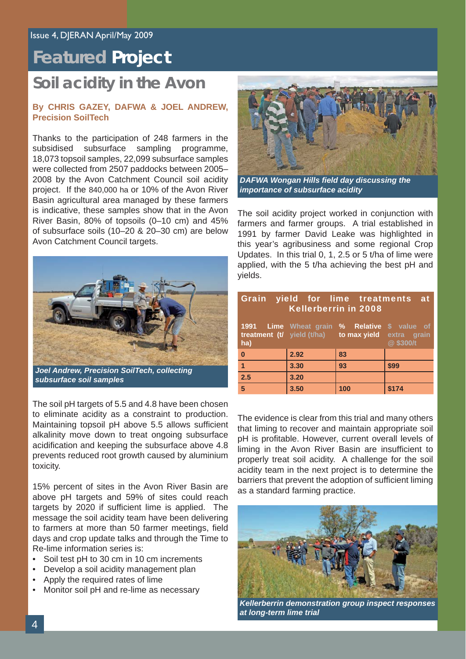# **Featured Project**

### **Soil acidity in the Avon**

#### **By CHRIS GAZEY, DAFWA & JOEL ANDREW, Precision SoilTech**

Thanks to the participation of 248 farmers in the subsidised subsurface sampling programme, 18,073 topsoil samples, 22,099 subsurface samples were collected from 2507 paddocks between 2005– 2008 by the Avon Catchment Council soil acidity project. If the 840,000 ha or 10% of the Avon River Basin agricultural area managed by these farmers is indicative, these samples show that in the Avon River Basin, 80% of topsoils (0–10 cm) and 45% of subsurface soils (10–20 & 20–30 cm) are below Avon Catchment Council targets.



*Joel Andrew, Precision SoilTech, collecting subsurface soil samples*

The soil pH targets of 5.5 and 4.8 have been chosen to eliminate acidity as a constraint to production. Maintaining topsoil pH above 5.5 allows sufficient alkalinity move down to treat ongoing subsurface acidification and keeping the subsurface above 4.8 prevents reduced root growth caused by aluminium toxicity.

15% percent of sites in the Avon River Basin are above pH targets and 59% of sites could reach targets by 2020 if sufficient lime is applied. The message the soil acidity team have been delivering to farmers at more than 50 farmer meetings, field days and crop update talks and through the Time to Re-lime information series is:

- Soil test pH to 30 cm in 10 cm increments
- Develop a soil acidity management plan
- Apply the required rates of lime
- Monitor soil pH and re-lime as necessary



**DAFWA Wongan Hills field day discussing the** *importance of subsurface acidity*

The soil acidity project worked in conjunction with farmers and farmer groups. A trial established in 1991 by farmer David Leake was highlighted in this year's agribusiness and some regional Crop Updates. In this trial 0, 1, 2.5 or 5 t/ha of lime were applied, with the 5 t/ha achieving the best pH and yields.

| Grain yield for lime treatments at<br><b>Kellerberrin in 2008</b> |      |                                                                                                     |          |
|-------------------------------------------------------------------|------|-----------------------------------------------------------------------------------------------------|----------|
| ha)                                                               |      | 1991 Lime Wheat grain % Relative \$ value of<br>treatment (t/ yield (t/ha) to max yield extra grain | @\$300/t |
| $\pmb{0}$                                                         | 2.92 | 83                                                                                                  |          |
| $\overline{1}$                                                    | 3.30 | 93                                                                                                  | \$99     |
| $\overline{2.5}$                                                  | 3.20 |                                                                                                     |          |
| $5\phantom{1}$                                                    | 3.50 | 100                                                                                                 | \$174    |

The evidence is clear from this trial and many others that liming to recover and maintain appropriate soil pH is profitable. However, current overall levels of liming in the Avon River Basin are insufficient to properly treat soil acidity. A challenge for the soil acidity team in the next project is to determine the barriers that prevent the adoption of sufficient liming as a standard farming practice.



*Kellerberrin demonstration group inspect responses at long-term lime trial*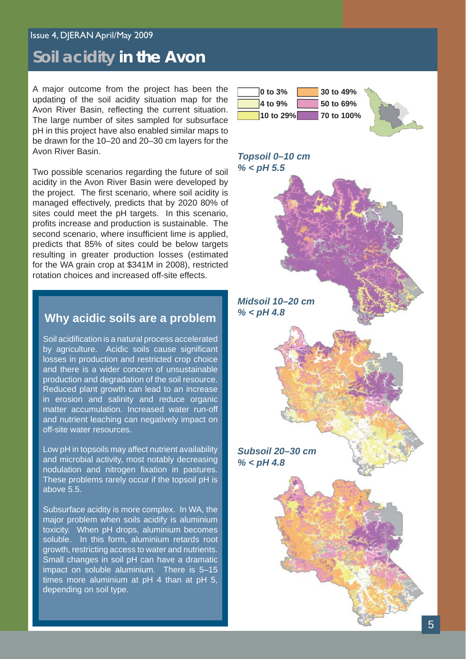#### Issue 4, DJERAN April/May 2009

### **Soil acidity in the Avon**

A major outcome from the project has been the updating of the soil acidity situation map for the Avon River Basin, reflecting the current situation. The large number of sites sampled for subsurface pH in this project have also enabled similar maps to be drawn for the 10–20 and 20–30 cm layers for the Avon River Basin.

Two possible scenarios regarding the future of soil acidity in the Avon River Basin were developed by the project. The first scenario, where soil acidity is managed effectively, predicts that by 2020 80% of sites could meet the pH targets. In this scenario, profits increase and production is sustainable. The second scenario, where insufficient lime is applied, predicts that 85% of sites could be below targets resulting in greater production losses (estimated for the WA grain crop at \$341M in 2008), restricted rotation choices and increased off-site effects.

#### **Why acidic soils are a problem**

Soil acidification is a natural process accelerated by agriculture. Acidic soils cause significant losses in production and restricted crop choice and there is a wider concern of unsustainable production and degradation of the soil resource. Reduced plant growth can lead to an increase in erosion and salinity and reduce organic matter accumulation. Increased water run-off and nutrient leaching can negatively impact on off-site water resources.

Low pH in topsoils may affect nutrient availability and microbial activity, most notably decreasing nodulation and nitrogen fixation in pastures. These problems rarely occur if the topsoil pH is above 5.5.

Subsurface acidity is more complex. In WA, the major problem when soils acidify is aluminium toxicity. When pH drops, aluminium becomes soluble. In this form, aluminium retards root growth, restricting access to water and nutrients. Small changes in soil pH can have a dramatic impact on soluble aluminium. There is 5–15 times more aluminium at pH 4 than at pH 5, depending on soil type.



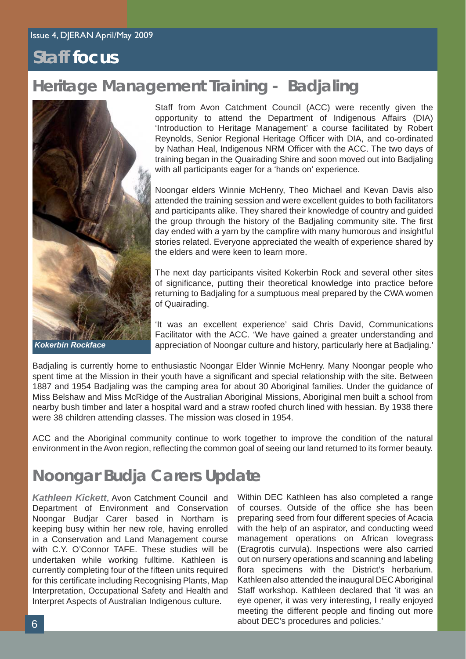### **Staff focus**

# **Heritage Management Training - Badjaling**



Staff from Avon Catchment Council (ACC) were recently given the opportunity to attend the Department of Indigenous Affairs (DIA) 'Introduction to Heritage Management' a course facilitated by Robert Reynolds, Senior Regional Heritage Officer with DIA, and co-ordinated by Nathan Heal, Indigenous NRM Officer with the ACC. The two days of training began in the Quairading Shire and soon moved out into Badjaling with all participants eager for a 'hands on' experience.

Noongar elders Winnie McHenry, Theo Michael and Kevan Davis also attended the training session and were excellent guides to both facilitators and participants alike. They shared their knowledge of country and guided the group through the history of the Badialing community site. The first day ended with a yarn by the campfire with many humorous and insightful stories related. Everyone appreciated the wealth of experience shared by the elders and were keen to learn more.

The next day participants visited Kokerbin Rock and several other sites of significance, putting their theoretical knowledge into practice before returning to Badjaling for a sumptuous meal prepared by the CWA women of Quairading.

'It was an excellent experience' said Chris David, Communications Facilitator with the ACC. 'We have gained a greater understanding and appreciation of Noongar culture and history, particularly here at Badjaling.'

Badjaling is currently home to enthusiastic Noongar Elder Winnie McHenry. Many Noongar people who spent time at the Mission in their youth have a significant and special relationship with the site. Between 1887 and 1954 Badjaling was the camping area for about 30 Aboriginal families. Under the guidance of Miss Belshaw and Miss McRidge of the Australian Aboriginal Missions, Aboriginal men built a school from nearby bush timber and later a hospital ward and a straw roofed church lined with hessian. By 1938 there were 38 children attending classes. The mission was closed in 1954.

ACC and the Aboriginal community continue to work together to improve the condition of the natural environment in the Avon region, reflecting the common goal of seeing our land returned to its former beauty.

# **Noongar Budja Carers Update**

*Kathleen Kickett*, Avon Catchment Council and Department of Environment and Conservation Noongar Budjar Carer based in Northam is keeping busy within her new role, having enrolled in a Conservation and Land Management course with C.Y. O'Connor TAFE. These studies will be undertaken while working fulltime. Kathleen is currently completing four of the fifteen units required for this certificate including Recognising Plants, Map Interpretation, Occupational Safety and Health and Interpret Aspects of Australian Indigenous culture.

Within DEC Kathleen has also completed a range of courses. Outside of the office she has been preparing seed from four different species of Acacia with the help of an aspirator, and conducting weed management operations on African lovegrass (Eragrotis curvula). Inspections were also carried out on nursery operations and scanning and labeling flora specimens with the District's herbarium. Kathleen also attended the inaugural DEC Aboriginal Staff workshop. Kathleen declared that 'it was an eye opener, it was very interesting, I really enjoyed meeting the different people and finding out more about DEC's procedures and policies.'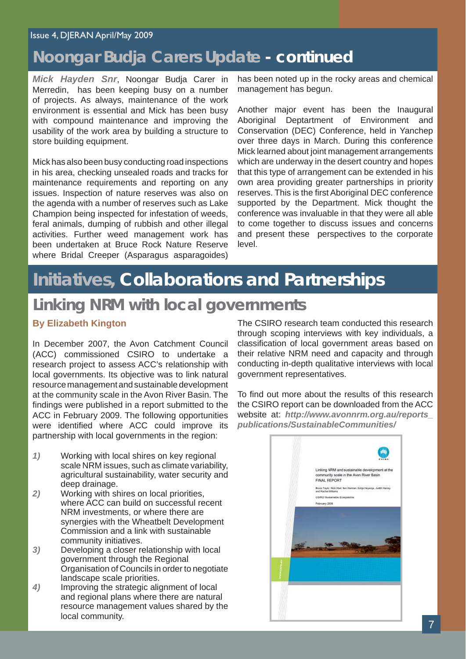#### Issue 4, DJERAN April/May 2009

### **Noongar Budja Carers Update - continued**

*Mick Hayden Snr*, Noongar Budja Carer in Merredin, has been keeping busy on a number of projects. As always, maintenance of the work environment is essential and Mick has been busy with compound maintenance and improving the usability of the work area by building a structure to store building equipment.

Mick has also been busy conducting road inspections in his area, checking unsealed roads and tracks for maintenance requirements and reporting on any issues. Inspection of nature reserves was also on the agenda with a number of reserves such as Lake Champion being inspected for infestation of weeds, feral animals, dumping of rubbish and other illegal activities. Further weed management work has been undertaken at Bruce Rock Nature Reserve where Bridal Creeper (Asparagus asparagoides)

has been noted up in the rocky areas and chemical management has begun.

Another major event has been the Inaugural Aboriginal Deptartment of Environment and Conservation (DEC) Conference, held in Yanchep over three days in March. During this conference Mick learned about joint management arrangements which are underway in the desert country and hopes that this type of arrangement can be extended in his own area providing greater partnerships in priority reserves. This is the first Aboriginal DEC conference supported by the Department. Mick thought the conference was invaluable in that they were all able to come together to discuss issues and concerns and present these perspectives to the corporate level.

# **Initiatives, Collaborations and Partnerships**

### **Linking NRM with local governments**

#### **By Elizabeth Kington**

In December 2007, the Avon Catchment Council (ACC) commissioned CSIRO to undertake a research project to assess ACC's relationship with local governments. Its objective was to link natural resource management and sustainable development at the community scale in the Avon River Basin. The findings were published in a report submitted to the ACC in February 2009. The following opportunities were identified where ACC could improve its partnership with local governments in the region:

- *1)* Working with local shires on key regional scale NRM issues, such as climate variability, agricultural sustainability, water security and deep drainage.
- *2)* Working with shires on local priorities, where ACC can build on successful recent NRM investments, or where there are synergies with the Wheatbelt Development Commission and a link with sustainable community initiatives.
- *3)* Developing a closer relationship with local government through the Regional Organisation of Councils in order to negotiate landscape scale priorities.
- *4)* Improving the strategic alignment of local and regional plans where there are natural resource management values shared by the local community.

The CSIRO research team conducted this research through scoping interviews with key individuals, a classification of local government areas based on their relative NRM need and capacity and through conducting in-depth qualitative interviews with local government representatives.

To find out more about the results of this research the CSIRO report can be downloaded from the ACC website at: *http://www.avonnrm.org.au/reports\_ publications/SustainableCommunities/*